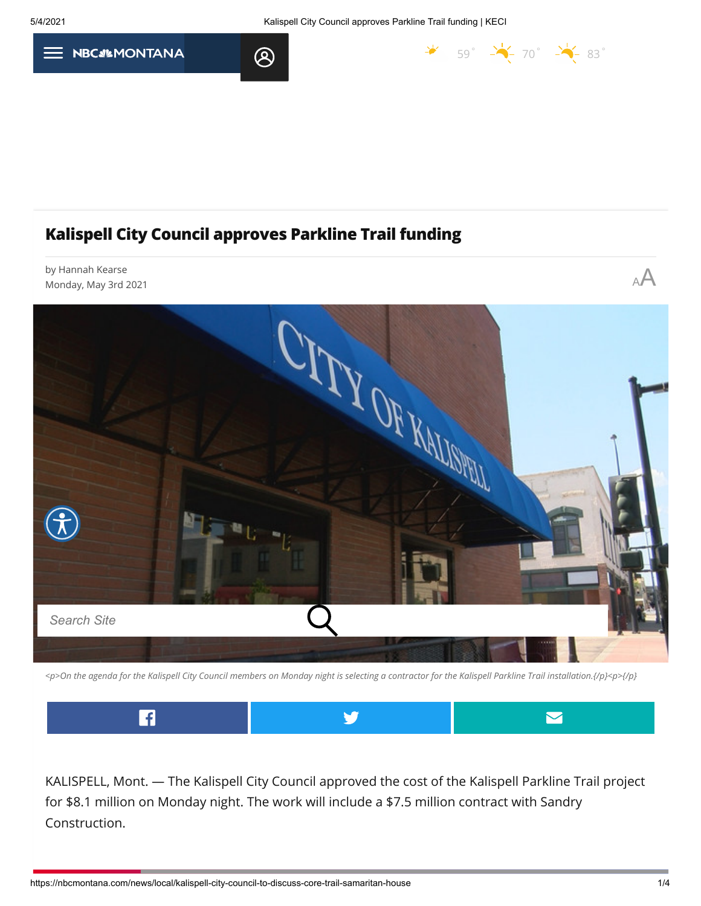$\frac{1}{2}$  [59](https://nbcmontana.com/weather)°  $\frac{1}{2}$  70°  $\frac{1}{2}$  83°



## **Kalispell City Council approves Parkline Trail funding**

 $\bigotimes$ 



*<p>On the agenda for the Kalispell City Council members on Monday night is selecting a contractor for the Kalispell Parkline Trail installation.{/p}<p>{/p}*



KALISPELL, Mont. — The Kalispell City Council approved the cost of the Kalispell Parkline Trail project for \$8.1 million on Monday night. The work will include a \$7.5 million contract with Sandry Construction.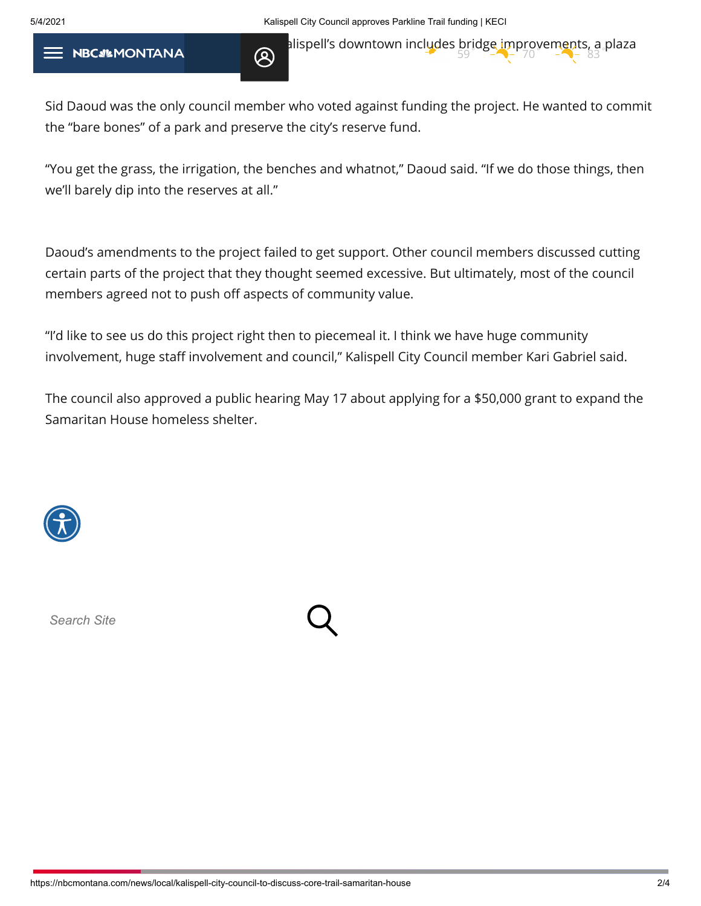5/4/2021 Kalispell City Council approves Parkline Trail funding | KECI

The multipulity of the multipulity of the multipulity of the multipulity of the multipulity of the multipulity of the multipulity of the multipulity of the multipulity of the multipulity of the multipulity of the multipuli

Sid Daoud was the only council member who voted against funding the project. He wanted to commit the "bare bones" of a park and preserve the city's reserve fund.

"You get the grass, the irrigation, the benches and whatnot," Daoud said. "If we do those things, then we'll barely dip into the reserves at all."

Daoud's amendments to the project failed to get support. Other council members discussed cutting certain parts of the project that they thought seemed excessive. But ultimately, most of the council members agreed not to push off aspects of community value.

"I'd like to see us do this project right then to piecemeal it. I think we have huge community involvement, huge staff involvement and council," Kalispell City Council member Kari Gabriel said.

The council also approved a public hearing May 17 about applying for a \$50,000 grant to expand the Samaritan House homeless shelter.



*Search Site*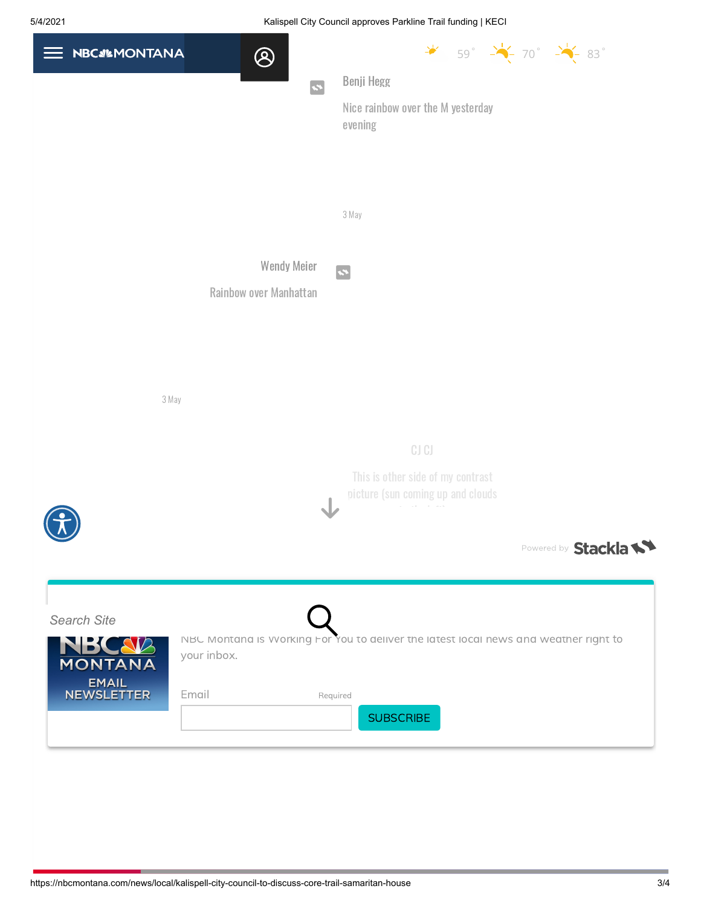## 5/4/2021 Kalispell City Council approves Parkline Trail funding | KECI

| <b>NBCa%MONTANA</b>                        | $\bigotimes$                                 | $\frac{1}{2}$ 59° $\frac{1}{2}$ 70° $\frac{1}{2}$ 83°                                |
|--------------------------------------------|----------------------------------------------|--------------------------------------------------------------------------------------|
|                                            | $\mathbf{z}$                                 | Benji Hegg                                                                           |
|                                            |                                              | Nice rainbow over the M yesterday<br>evening                                         |
|                                            |                                              | 3 May                                                                                |
|                                            |                                              |                                                                                      |
|                                            | <b>Wendy Meier</b><br>Rainbow over Manhattan | $\mathbf{z}$                                                                         |
|                                            |                                              |                                                                                      |
|                                            |                                              |                                                                                      |
|                                            |                                              |                                                                                      |
| 3 May                                      |                                              |                                                                                      |
|                                            |                                              |                                                                                      |
|                                            |                                              | CJCJ                                                                                 |
|                                            |                                              | This is other side of my contrast<br>picture (sun coming up and clouds               |
|                                            |                                              | Powered by Stackla                                                                   |
|                                            |                                              |                                                                                      |
| <b>Search Site</b>                         |                                              | NBC Montana is Working For You to deliver the latest local news and weather right to |
| MBCA                                       | your inbox.                                  |                                                                                      |
| <b>EMAIL</b><br><b>NEWSLETTER</b><br>Email |                                              | Required                                                                             |
|                                            |                                              | <b>SUBSCRIBE</b>                                                                     |